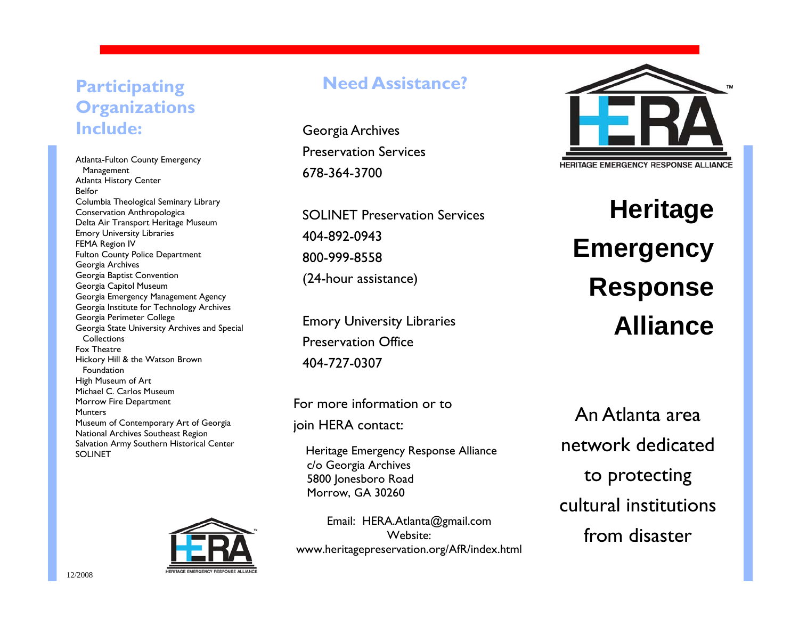### **Participating Organizations Include:**

Atlanta-Fulton County Emergency Management Atlanta History Center Belfor Columbia Theological Seminary Library Conservation Anthropologica Delta Air Transport Heritage Museum Emory University Libraries FEMA Region IV Fulton County Police Department Georgia Archives Georgia Baptist Convention Georgia Capitol Museum Georgia Emergency Management Agency Georgia Institute for Technology Archives Georgia Perimeter College Georgia State University Archives and Special **Collections** Fox Theatre Hickory Hill & the Watson Brown Foundation High Museum of Art Michael C. Carlos Museum Morrow Fire Department **Munters** Museum of Contemporary Art of Georgia National Archives Southeast Region Salvation Army Southern Historical Center SOLINET



#### **Need Assistance?**

Georgia Archives Preservation Services 678-364-3700

SOLINET Preservation Services 404-892-0943 800-999-8558 (24-hour assistance)

Emory University Libraries Preservation Office 404-727-0307

For more information or to join HERA contact:

Heritage Emergency Response Alliance c/o Georgia Archives 5800 Jonesboro Road Morrow, GA 30260

Email: HERA.Atlanta@gmail.com Website: www.heritagepreservation.org/AfR/index.html



**Heritage Emergency Response Alliance**

An Atlanta area network dedicated to protecting cultural institutions from disaster